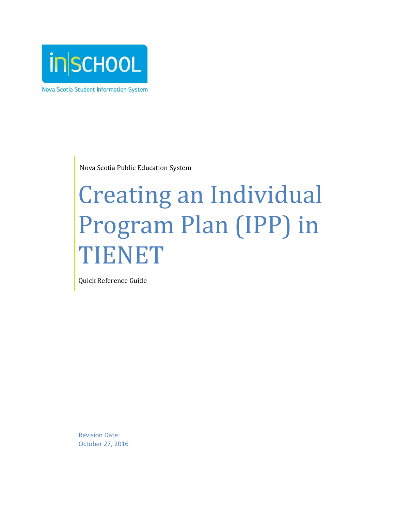

Nova Scotia Student Information System

Nova Scotia Public Education System

# Creating an Individual Program Plan (IPP) in TIENET

Quick Reference Guide

Revision Date: October 27, 2016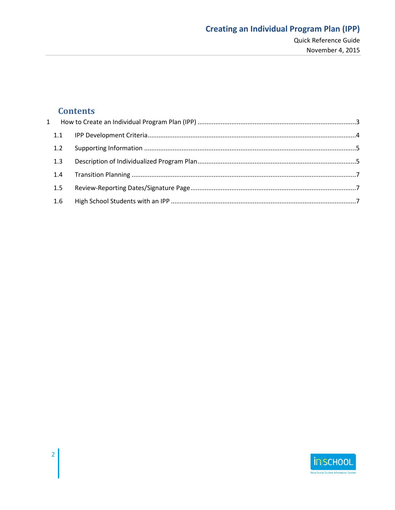# Quick Reference Guide November 4, 2015

# **Contents**

| 1.1           |  |
|---------------|--|
| 1.2           |  |
| 1.3           |  |
| $1.4^{\circ}$ |  |
| 1.5           |  |
| 1.6           |  |

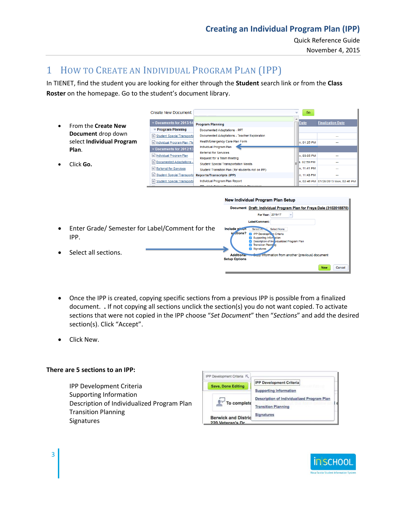Quick Reference Guide

November 4, 2015

# <span id="page-2-0"></span>1 HOW TO CREATE AN INDIVIDUAL PROGRAM PLAN (IPP)

In TIENET, find the student you are looking for either through the **Student** search link or from the **Class Roster** on the homepage. Go to the student's document library.

|           |                                    | Create New Document:                                  |                                                                                                  | Go                             |                                      |
|-----------|------------------------------------|-------------------------------------------------------|--------------------------------------------------------------------------------------------------|--------------------------------|--------------------------------------|
| $\bullet$ | From the Create New                | Documents for 2013/14<br><b>Program Planning</b>      | <b>Program Planning</b><br>Documented Adaptations - PPT                                          | Date                           | <b>Finalization Date</b>             |
|           | Document drop down                 | Student Special Transporta                            | Documented Adaptations - Teacher Exploration                                                     |                                |                                      |
|           | select Individual Program<br>Plan. | Individual Program Plan (Tel<br>Documents for 2012/13 | Health/Emergency Care Plan Form<br>Individual Program Plan                                       | In. 01:25 PM                   |                                      |
|           |                                    | ndividual Program Plan<br>Documented Adaptations -    | <b>Referral for Services</b><br>Request for a Team Meeting                                       | In. 03:05 PM<br>$= 2.02:59$ PM |                                      |
|           | Click Go.                          | Referral for Services                                 | <b>Student Special Transportation Needs</b><br>Student Transition Plan (for students not on IPP) | In. 11:41 PM                   |                                      |
|           |                                    | Student Special Transporta                            | <b>Reports/Transcripts (IPP)</b>                                                                 | In, 11:43 PM                   | $\sim$                               |
|           |                                    | Student Special Transporta                            | Individual Program Plan Report                                                                   |                                | n, 02:46 PM 01/28/2013 Mon, 02:46 PM |



- Document Draft: Individual Program Plan for Freya Dale (3102018870) For Year: 2016-17  $\blacktriangledown$ Label/Comment: Enter Grade/ Semester for Label/Comment for the Include which Select An Select None sr ctions? **2** IPP Development Criteria IPP. Supporting Inform<br>Description of Ind<br>Transition Planni  $503$ idualized Program Plar Signatures Select all sections. Copy information from another (previous) document **Additional Setup Options** New Cancel
- Once the IPP is created, copying specific sections from a previous IPP is possible from a finalized document. **.** If not copying all sections unclick the section(s) you do not want copied. To activate sections that were not copied in the IPP choose "*Set Document*" then "*Sections*" and add the desired section(s). Click "Accept".
- Click New.

#### **There are 5 sections to an IPP:**

IPP Development Criteria Supporting Information Description of Individualized Program Plan Transition Planning Signatures



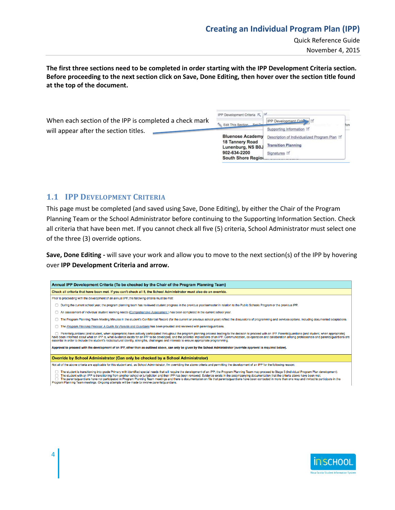# **Creating an Individual Program Plan (IPP)**

Quick Reference Guide

November 4, 2015

**The first three sections need to be completed in order starting with the IPP Development Criteria section. Before proceeding to the next section click on Save, Done Editing, then hover over the section title found at the top of the document.**

|                                                        | IPP Development Criteria K                  |                                              |     |
|--------------------------------------------------------|---------------------------------------------|----------------------------------------------|-----|
| When each section of the IPP is completed a check mark | Edit This Section Set De                    | <b>IPP Development Criticia</b>              |     |
| will appear after the section titles.                  |                                             | Supporting Information [9]                   | Jon |
|                                                        | <b>Bluenose Academy</b>                     | Description of Individualized Program Plan M |     |
|                                                        | <b>18 Tannery Road</b><br>Lunenburg, NS B0J | <b>Transition Planning</b>                   |     |
|                                                        | 902-634-2200                                | Signatures <b>Ø</b>                          |     |
|                                                        | South Shore Region                          |                                              |     |

#### <span id="page-3-0"></span>**1.1 IPP DEVELOPMENT CRITERIA**

This page must be completed (and saved using Save, Done Editing), by either the Chair of the Program Planning Team or the School Administrator before continuing to the Supporting Information Section. Check all criteria that have been met. If you cannot check all five (5) criteria, School Administrator must select one of the three (3) override options.

**Save, Done Editing -** will save your work and allow you to move to the next section(s) of the IPP by hovering over **IPP Development Criteria and arrow.**

| Annual IPP Development Criteria (To be checked by the Chair of the Program Planning Team)                                                                                                                                                                                                                                                                                                                                                                                                                                                                                                                |  |  |  |  |
|----------------------------------------------------------------------------------------------------------------------------------------------------------------------------------------------------------------------------------------------------------------------------------------------------------------------------------------------------------------------------------------------------------------------------------------------------------------------------------------------------------------------------------------------------------------------------------------------------------|--|--|--|--|
| Check all criteria that have been met. If you can't check all 5, the School Administrator must also do an override.                                                                                                                                                                                                                                                                                                                                                                                                                                                                                      |  |  |  |  |
| Prior to proceeding with the development of an annual IPP, the following criteria must be met:                                                                                                                                                                                                                                                                                                                                                                                                                                                                                                           |  |  |  |  |
| □ During the current school year, the program planning team has reviewed student progress in the previous year/semester in relation to the Public Schools Program or the previous IPP.                                                                                                                                                                                                                                                                                                                                                                                                                   |  |  |  |  |
| An assessment of individual student learning needs (Comprehensive Assessment ) has been completed in the current school year.                                                                                                                                                                                                                                                                                                                                                                                                                                                                            |  |  |  |  |
| □ The Program Planning Team Meeting Minutes in the student's Confidential Record (for the current or previous school year) reflect the discussions of programming and services options, including documented adaptations.                                                                                                                                                                                                                                                                                                                                                                                |  |  |  |  |
| The Program Planning Process: A Guide for Parents and Guardians has been provided and reviewed with parents/guardians.                                                                                                                                                                                                                                                                                                                                                                                                                                                                                   |  |  |  |  |
| Parents/guardians (and student, when appropriate) have actively participated throughout the program planning process leading to the decision to proceed with an IPP. Parents/guardians (and student, when appropriate)<br>have been informed about what an IPP is, what evidence exists for an IPP to be developed, and the potential implications of an IPP. Communication, co-operation and collaboration among professionals and parents/guardians ar<br>essential in order to include the student's racial/cultural identity, strengths, challenges and interests to ensure appropriate programming. |  |  |  |  |
| Approval to proceed with the development of an IPP, other than as outlined above, can only be given by the School Administrator (override approval is required below).                                                                                                                                                                                                                                                                                                                                                                                                                                   |  |  |  |  |
| Override by School Administrator (Can only be checked by a School Administrator)                                                                                                                                                                                                                                                                                                                                                                                                                                                                                                                         |  |  |  |  |
| Not all of the above criteria are applicable for this student and, as School Administrator, I'm overriding the above criteria and permitting the development of an IPP for the following reason:                                                                                                                                                                                                                                                                                                                                                                                                         |  |  |  |  |
| The student is transitioning into grade Primary with identified special needs that will require the development of an IPP; the Program Planning Team may proceed to Stage 5 (Individual Program Plan development).<br>$\Box$<br>The student with an IPP is transitioning from another school or jurisdiction and their IPP has been reviewed. Evidence exists in the accompanying documentation that the criteria above have been met.                                                                                                                                                                   |  |  |  |  |

□ The student with an IPP is transitioning from another school or jurisdiction and their IPP has been reviewed. Evidence exists in the accompanying documentation that the criteria above have been met.<br>Program Planning Tea

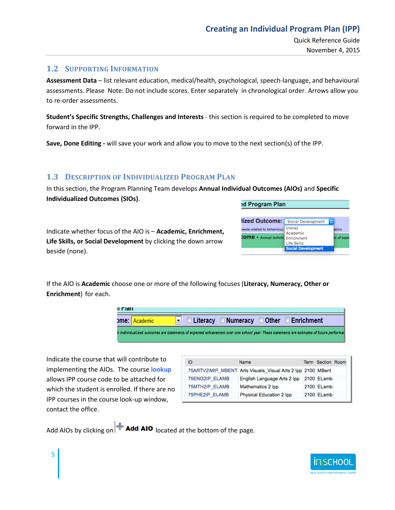Quick Reference Guide November 4, 2015

#### <span id="page-4-0"></span>**1.2 SUPPORTING INFORMATION**

**Assessment Data** – list relevant education, medical/health, psychological, speech-language, and behavioural assessments. Please Note: Do not include scores. Enter separately in chronological order. Arrows allow you to re-order assessments.

**Student's Specific Strengths, Challenges and Interests** - this section is required to be completed to move forward in the IPP.

**Save, Done Editing -** will save your work and allow you to move to the next section(s) of the IPP.

#### <span id="page-4-1"></span>**1.3 DESCRIPTION OF INDIVIDUALIZED PROGRAM PLAN**

In this section, the Program Planning Team develops **Annual Individual Outcomes (AIOs)** and **Specific Individualized Outcomes (SIOs)**.

Indicate whether focus of the AIO is – **Academic, Enrichment, Life Skills, or Social Development** by clicking the down arrow beside (none).

| ed Program Plan                          |                           |       |  |
|------------------------------------------|---------------------------|-------|--|
| lized Outcome:                           | Social Development        | ٥     |  |
| leeds related to behaviour.              | (none)<br>Academic        | ition |  |
| <b>COMB - Annual Individe Enrichment</b> | <b>Life Skills</b>        |       |  |
|                                          | <b>Social Development</b> |       |  |

If the AIO is **Academic** choose one or more of the following focuses (**Literacy, Numeracy, Other or Enrichment**) for each.



Indicate the course that will contribute to implementing the AIOs. The course **lookup** allows IPP course code to be attached for which the student is enrolled. If there are no IPP courses in the course look-up window, contact the office.

5

| ID             | <b>Name</b>                                                 | Term Section Room |  |
|----------------|-------------------------------------------------------------|-------------------|--|
|                | 75ARTV2IMIP MBENT Arts Visuels Visual Arts 2 lpp 2100 MBent |                   |  |
| 75ENG2IP ELAMB | English Language Arts 2 Ipp 2100 ELamb                      |                   |  |
| 75MTH2IP ELAMB | Mathematics 2 lpp                                           | 2100 ELamb        |  |
| 75PHE2IP ELAMB | Physical Education 2 Ipp                                    | 2100 ELamb        |  |

Add AIOs by clicking on **Add AIO** located at the bottom of the page.

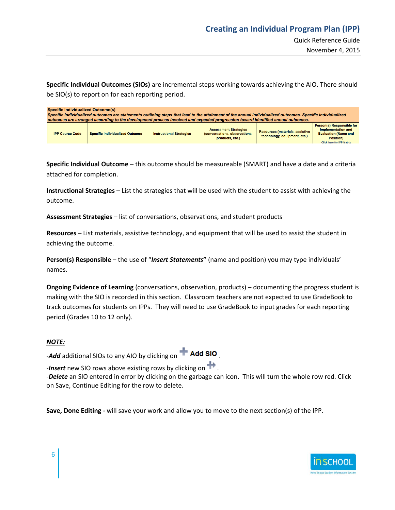**Specific Individual Outcomes (SIOs)** are incremental steps working towards achieving the AIO. There should be SIO(s) to report on for each reporting period.

| <b>Specific Individualized Outcome(s)</b>                                                                                                                  |                                        |                                 |                                                                                  |                                                                        |                                                                                                     |  |
|------------------------------------------------------------------------------------------------------------------------------------------------------------|----------------------------------------|---------------------------------|----------------------------------------------------------------------------------|------------------------------------------------------------------------|-----------------------------------------------------------------------------------------------------|--|
| Specific individualized outcomes are statements outlining steps that lead to the attainment of the annual individualized outcomes. Specific individualized |                                        |                                 |                                                                                  |                                                                        |                                                                                                     |  |
| outcomes are arranged according to the development process involved and expected progression toward identified annual outcomes.                            |                                        |                                 |                                                                                  |                                                                        |                                                                                                     |  |
| <b>IPP Course Code</b>                                                                                                                                     | <b>Specific Individualized Outcome</b> | <b>Instructional Strategies</b> | <b>Assessment Strategies</b><br>(conversations, observations,<br>products, etc.) | <b>Resources (materials, assistive</b><br>technology, equipment, etc.) | Person(s) Responsible for<br>Implementation and<br><b>Evaluation (Name and</b><br><b>Position</b> ) |  |
|                                                                                                                                                            |                                        |                                 |                                                                                  |                                                                        | <b>Click here for IPP Matrix</b>                                                                    |  |

**Specific Individual Outcome** – this outcome should be measureable (SMART) and have a date and a criteria attached for completion.

**Instructional Strategies** – List the strategies that will be used with the student to assist with achieving the outcome.

**Assessment Strategies** – list of conversations, observations, and student products

**Resources** – List materials, assistive technology, and equipment that will be used to assist the student in achieving the outcome.

**Person(s) Responsible** – the use of "*Insert Statements***"** (name and position) you may type individuals' names.

**Ongoing Evidence of Learning** (conversations, observation, products) – documenting the progress student is making with the SIO is recorded in this section. Classroom teachers are not expected to use GradeBook to track outcomes for students on IPPs. They will need to use GradeBook to input grades for each reporting period (Grades 10 to 12 only).

#### *NOTE:*

-**Add** additional SIOs to any AIO by clicking on **Add SIO** 

*-Insert* new SIO rows above existing rows by clicking on .

-*Delete* an SIO entered in error by clicking on the garbage can icon. This will turn the whole row red. Click on Save, Continue Editing for the row to delete.

**Save, Done Editing -** will save your work and allow you to move to the next section(s) of the IPP.